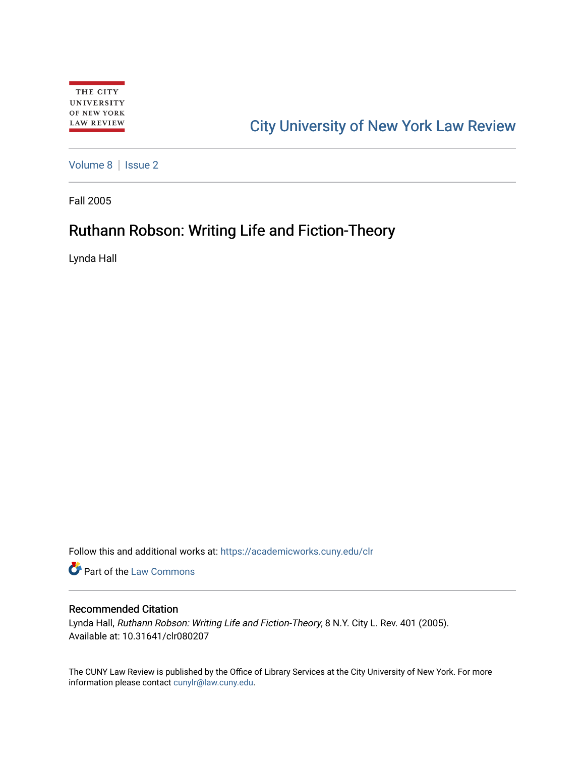# [City University of New York Law Review](https://academicworks.cuny.edu/clr)

[Volume 8](https://academicworks.cuny.edu/clr/vol8) | Issue 2

Fall 2005

## Ruthann Robson: Writing Life and Fiction-Theory

Lynda Hall

Follow this and additional works at: [https://academicworks.cuny.edu/clr](https://academicworks.cuny.edu/clr?utm_source=academicworks.cuny.edu%2Fclr%2Fvol8%2Fiss2%2F8&utm_medium=PDF&utm_campaign=PDFCoverPages) 

**Part of the [Law Commons](http://network.bepress.com/hgg/discipline/578?utm_source=academicworks.cuny.edu%2Fclr%2Fvol8%2Fiss2%2F8&utm_medium=PDF&utm_campaign=PDFCoverPages)** 

### Recommended Citation

Lynda Hall, Ruthann Robson: Writing Life and Fiction-Theory, 8 N.Y. City L. Rev. 401 (2005). Available at: 10.31641/clr080207

The CUNY Law Review is published by the Office of Library Services at the City University of New York. For more information please contact [cunylr@law.cuny.edu](mailto:cunylr@law.cuny.edu).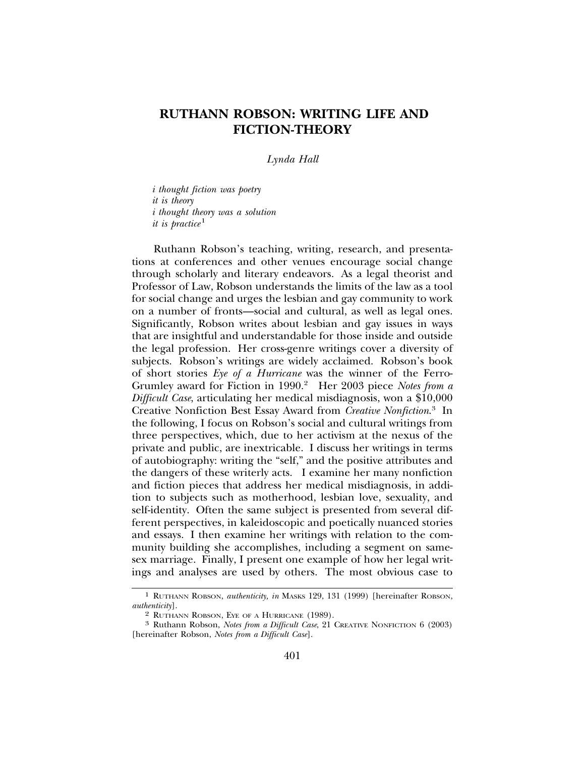### **RUTHANN ROBSON: WRITING LIFE AND FICTION-THEORY**

*Lynda Hall*

*i thought fiction was poetry it is theory i thought theory was a solution it is practice*<sup>1</sup>

Ruthann Robson's teaching, writing, research, and presentations at conferences and other venues encourage social change through scholarly and literary endeavors. As a legal theorist and Professor of Law, Robson understands the limits of the law as a tool for social change and urges the lesbian and gay community to work on a number of fronts—social and cultural, as well as legal ones. Significantly, Robson writes about lesbian and gay issues in ways that are insightful and understandable for those inside and outside the legal profession. Her cross-genre writings cover a diversity of subjects. Robson's writings are widely acclaimed. Robson's book of short stories *Eye of a Hurricane* was the winner of the Ferro-Grumley award for Fiction in 1990.<sup>2</sup> Her 2003 piece *Notes from a Difficult Case*, articulating her medical misdiagnosis, won a \$10,000 Creative Nonfiction Best Essay Award from *Creative Nonfiction*. 3 In the following, I focus on Robson's social and cultural writings from three perspectives, which, due to her activism at the nexus of the private and public, are inextricable. I discuss her writings in terms of autobiography: writing the "self," and the positive attributes and the dangers of these writerly acts. I examine her many nonfiction and fiction pieces that address her medical misdiagnosis, in addition to subjects such as motherhood, lesbian love, sexuality, and self-identity. Often the same subject is presented from several different perspectives, in kaleidoscopic and poetically nuanced stories and essays. I then examine her writings with relation to the community building she accomplishes, including a segment on samesex marriage. Finally, I present one example of how her legal writings and analyses are used by others. The most obvious case to

<sup>1</sup> RUTHANN ROBSON, *authenticity, in* MASKS 129, 131 (1999) [hereinafter ROBSON, *authenticity*].<br>
<sup>2</sup> RUTHANN ROBSON, EYE OF A HURRICANE (1989).

<sup>&</sup>lt;sup>3</sup> Ruthann Robson, *Notes from a Difficult Case*, 21 CREATIVE NONFICTION 6 (2003). [hereinafter Robson, *Notes from a Difficult Case*].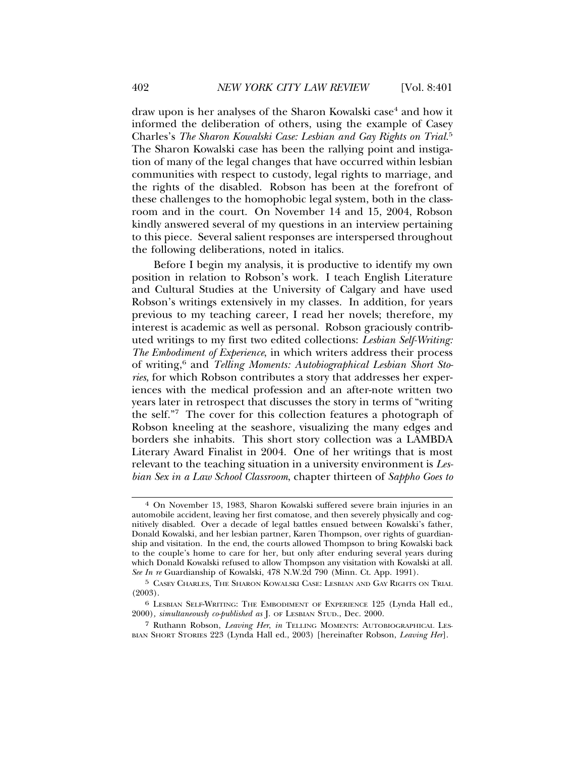draw upon is her analyses of the Sharon Kowalski case<sup>4</sup> and how it informed the deliberation of others, using the example of Casey Charles's *The Sharon Kowalski Case: Lesbian and Gay Rights on Trial.*<sup>5</sup> The Sharon Kowalski case has been the rallying point and instigation of many of the legal changes that have occurred within lesbian communities with respect to custody, legal rights to marriage, and the rights of the disabled. Robson has been at the forefront of these challenges to the homophobic legal system, both in the classroom and in the court. On November 14 and 15, 2004, Robson kindly answered several of my questions in an interview pertaining to this piece. Several salient responses are interspersed throughout the following deliberations, noted in italics.

Before I begin my analysis, it is productive to identify my own position in relation to Robson's work. I teach English Literature and Cultural Studies at the University of Calgary and have used Robson's writings extensively in my classes. In addition, for years previous to my teaching career, I read her novels; therefore, my interest is academic as well as personal. Robson graciously contributed writings to my first two edited collections: *Lesbian Self-Writing: The Embodiment of Experience*, in which writers address their process of writing,<sup>6</sup> and *Telling Moments: Autobiographical Lesbian Short Stories*, for which Robson contributes a story that addresses her experiences with the medical profession and an after-note written two years later in retrospect that discusses the story in terms of "writing the self."7 The cover for this collection features a photograph of Robson kneeling at the seashore, visualizing the many edges and borders she inhabits. This short story collection was a LAMBDA Literary Award Finalist in 2004. One of her writings that is most relevant to the teaching situation in a university environment is *Lesbian Sex in a Law School Classroom*, chapter thirteen of *Sappho Goes to*

<sup>4</sup> On November 13, 1983, Sharon Kowalski suffered severe brain injuries in an automobile accident, leaving her first comatose, and then severely physically and cognitively disabled. Over a decade of legal battles ensued between Kowalski's father, Donald Kowalski, and her lesbian partner, Karen Thompson, over rights of guardianship and visitation. In the end, the courts allowed Thompson to bring Kowalski back to the couple's home to care for her, but only after enduring several years during which Donald Kowalski refused to allow Thompson any visitation with Kowalski at all. *See In re* Guardianship of Kowalski, 478 N.W.2d 790 (Minn. Ct. App. 1991).

<sup>5</sup> CASEY CHARLES, THE SHARON KOWALSKI CASE: LESBIAN AND GAY RIGHTS ON TRIAL (2003).

<sup>6</sup> LESBIAN SELF-WRITING: THE EMBODIMENT OF EXPERIENCE 125 (Lynda Hall ed., 2000)*, simultaneously co-published as* J. OF LESBIAN STUD., Dec. 2000.

<sup>7</sup> Ruthann Robson, *Leaving Her*, *in* TELLING MOMENTS: AUTOBIOGRAPHICAL LES-BIAN SHORT STORIES 223 (Lynda Hall ed., 2003) [hereinafter Robson, *Leaving Her*].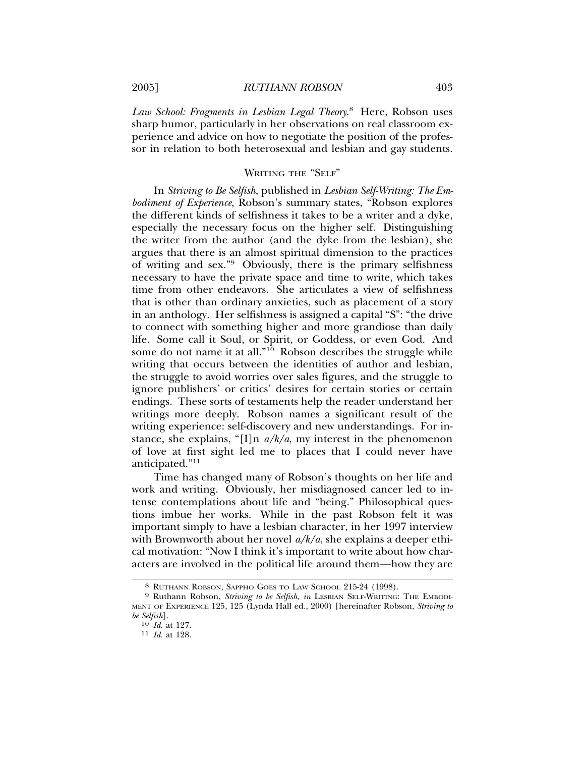*Law School: Fragments in Lesbian Legal Theory*. 8 Here, Robson uses sharp humor, particularly in her observations on real classroom experience and advice on how to negotiate the position of the professor in relation to both heterosexual and lesbian and gay students.

#### WRITING THE "SELF"

In *Striving to Be Selfish*, published in *Lesbian Self-Writing: The Embodiment of Experience*, Robson's summary states, "Robson explores the different kinds of selfishness it takes to be a writer and a dyke, especially the necessary focus on the higher self. Distinguishing the writer from the author (and the dyke from the lesbian), she argues that there is an almost spiritual dimension to the practices of writing and sex."9 Obviously, there is the primary selfishness necessary to have the private space and time to write, which takes time from other endeavors. She articulates a view of selfishness that is other than ordinary anxieties, such as placement of a story in an anthology. Her selfishness is assigned a capital "S": "the drive to connect with something higher and more grandiose than daily life. Some call it Soul, or Spirit, or Goddess, or even God. And some do not name it at all."<sup>10</sup> Robson describes the struggle while writing that occurs between the identities of author and lesbian, the struggle to avoid worries over sales figures, and the struggle to ignore publishers' or critics' desires for certain stories or certain endings. These sorts of testaments help the reader understand her writings more deeply. Robson names a significant result of the writing experience: self-discovery and new understandings. For instance, she explains, "[I]n *a/k/a*, my interest in the phenomenon of love at first sight led me to places that I could never have anticipated."11

Time has changed many of Robson's thoughts on her life and work and writing. Obviously, her misdiagnosed cancer led to intense contemplations about life and "being." Philosophical questions imbue her works. While in the past Robson felt it was important simply to have a lesbian character, in her 1997 interview with Brownworth about her novel *a/k/a*, she explains a deeper ethical motivation: "Now I think it's important to write about how characters are involved in the political life around them—how they are

<sup>8</sup> RUTHANN ROBSON, SAPPHO GOES TO LAW SCHOOL 215-24 (1998). <sup>9</sup> Ruthann Robson, *Striving to be Selfish*, *in* LESBIAN SELF-WRITING: THE EMBODI-MENT OF EXPERIENCE 125, 125 (Lynda Hall ed., 2000) [hereinafter Robson, *Striving to be Selfish*].

<sup>10</sup> *Id.* at 127. <sup>11</sup> *Id.* at 128.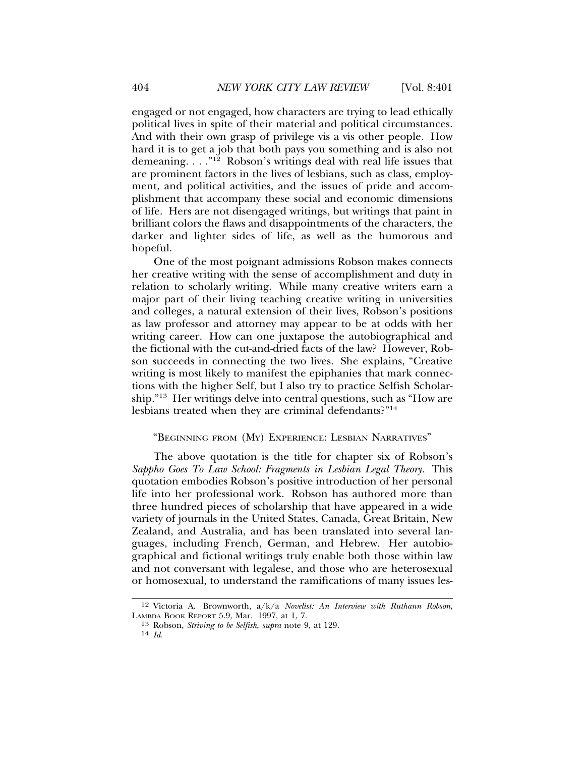engaged or not engaged, how characters are trying to lead ethically political lives in spite of their material and political circumstances. And with their own grasp of privilege vis a vis other people. How hard it is to get a job that both pays you something and is also not demeaning. . . ."12 Robson's writings deal with real life issues that are prominent factors in the lives of lesbians, such as class, employment, and political activities, and the issues of pride and accomplishment that accompany these social and economic dimensions of life. Hers are not disengaged writings, but writings that paint in brilliant colors the flaws and disappointments of the characters, the darker and lighter sides of life, as well as the humorous and hopeful.

One of the most poignant admissions Robson makes connects her creative writing with the sense of accomplishment and duty in relation to scholarly writing. While many creative writers earn a major part of their living teaching creative writing in universities and colleges, a natural extension of their lives, Robson's positions as law professor and attorney may appear to be at odds with her writing career. How can one juxtapose the autobiographical and the fictional with the cut-and-dried facts of the law? However, Robson succeeds in connecting the two lives. She explains, "Creative writing is most likely to manifest the epiphanies that mark connections with the higher Self, but I also try to practice Selfish Scholarship."13 Her writings delve into central questions, such as "How are lesbians treated when they are criminal defendants?"14

#### "BEGINNING FROM (MY) EXPERIENCE: LESBIAN NARRATIVES"

The above quotation is the title for chapter six of Robson's *Sappho Goes To Law School: Fragments in Lesbian Legal Theory.* This quotation embodies Robson's positive introduction of her personal life into her professional work. Robson has authored more than three hundred pieces of scholarship that have appeared in a wide variety of journals in the United States, Canada, Great Britain, New Zealand, and Australia, and has been translated into several languages, including French, German, and Hebrew. Her autobiographical and fictional writings truly enable both those within law and not conversant with legalese, and those who are heterosexual or homosexual, to understand the ramifications of many issues les-

<sup>12</sup> Victoria A. Brownworth, a/k/a *Novelist: An Interview with Ruthann Robson*, LAMBDA BOOK REPORT 5.9, Mar. 1997, at 1, 7.

<sup>13</sup> Robson, *Striving to be Selfish*, *supra* note 9, at 129. <sup>14</sup> *Id.*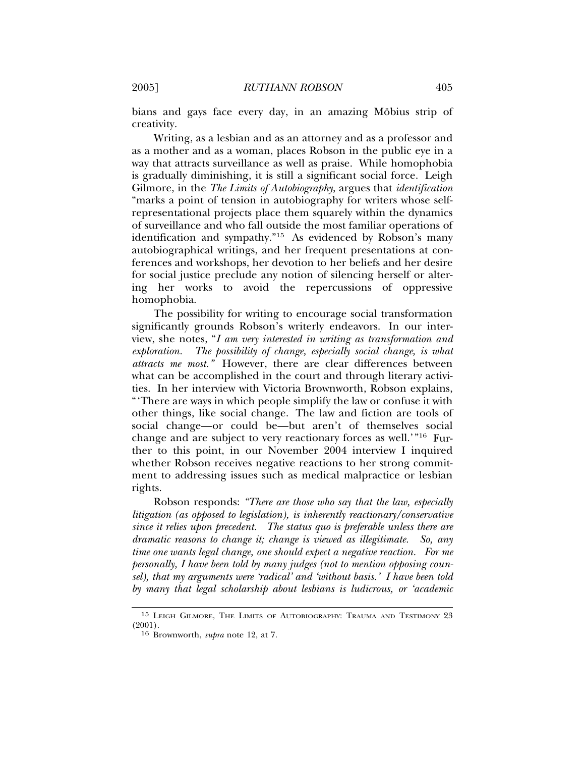bians and gays face every day, in an amazing Möbius strip of creativity.

Writing, as a lesbian and as an attorney and as a professor and as a mother and as a woman, places Robson in the public eye in a way that attracts surveillance as well as praise. While homophobia is gradually diminishing, it is still a significant social force. Leigh Gilmore, in the *The Limits of Autobiography*, argues that *identification* "marks a point of tension in autobiography for writers whose selfrepresentational projects place them squarely within the dynamics of surveillance and who fall outside the most familiar operations of identification and sympathy."15 As evidenced by Robson's many autobiographical writings, and her frequent presentations at conferences and workshops, her devotion to her beliefs and her desire for social justice preclude any notion of silencing herself or altering her works to avoid the repercussions of oppressive homophobia.

The possibility for writing to encourage social transformation significantly grounds Robson's writerly endeavors. In our interview, she notes, "*I am very interested in writing as transformation and exploration. The possibility of change, especially social change, is what attracts me most."* However, there are clear differences between what can be accomplished in the court and through literary activities. In her interview with Victoria Brownworth, Robson explains, "'There are ways in which people simplify the law or confuse it with other things, like social change. The law and fiction are tools of social change—or could be—but aren't of themselves social change and are subject to very reactionary forces as well.'"16 Further to this point, in our November 2004 interview I inquired whether Robson receives negative reactions to her strong commitment to addressing issues such as medical malpractice or lesbian rights.

Robson responds: *"There are those who say that the law, especially litigation (as opposed to legislation), is inherently reactionary/conservative since it relies upon precedent. The status quo is preferable unless there are dramatic reasons to change it; change is viewed as illegitimate. So, any time one wants legal change, one should expect a negative reaction. For me personally, I have been told by many judges (not to mention opposing counsel), that my arguments were 'radical' and 'without basis.' I have been told by many that legal scholarship about lesbians is ludicrous, or 'academic*

<sup>15</sup> LEIGH GILMORE, THE LIMITS OF AUTOBIOGRAPHY: TRAUMA AND TESTIMONY 23 (2001).

<sup>16</sup> Brownworth, *supra* note 12, at 7.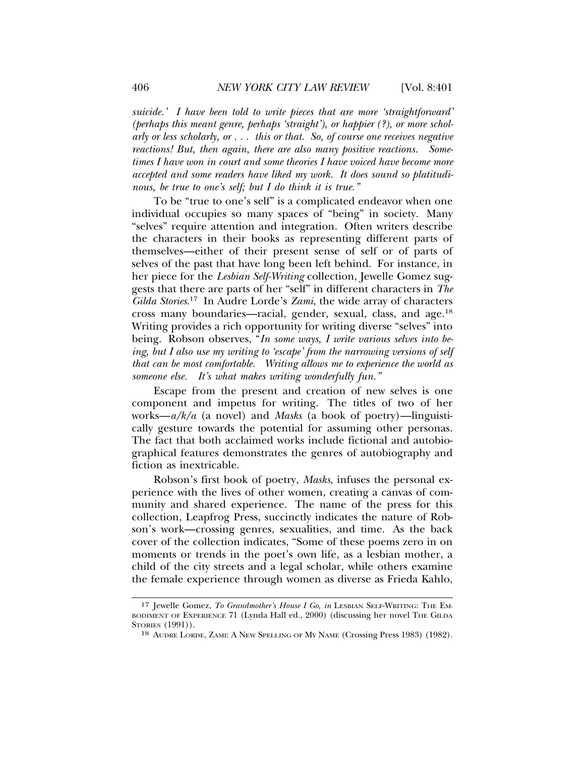*suicide.' I have been told to write pieces that are more 'straightforward' (perhaps this meant genre, perhaps 'straight'), or happier (?), or more scholarly or less scholarly, or . . . this or that. So, of course one receives negative reactions! But, then again, there are also many positive reactions. Sometimes I have won in court and some theories I have voiced have become more accepted and some readers have liked my work. It does sound so platitudinous, be true to one's self; but I do think it is true."*

To be "true to one's self" is a complicated endeavor when one individual occupies so many spaces of "being" in society. Many "selves" require attention and integration. Often writers describe the characters in their books as representing different parts of themselves—either of their present sense of self or of parts of selves of the past that have long been left behind. For instance, in her piece for the *Lesbian Self-Writing* collection, Jewelle Gomez suggests that there are parts of her "self" in different characters in *The Gilda Stories*. 17 In Audre Lorde's *Zami*, the wide array of characters cross many boundaries—racial, gender, sexual, class, and age.18 Writing provides a rich opportunity for writing diverse "selves" into being. Robson observes, "*In some ways, I write various selves into being, but I also use my writing to 'escape' from the narrowing versions of self that can be most comfortable. Writing allows me to experience the world as someone else. It's what makes writing wonderfully fun."*

Escape from the present and creation of new selves is one component and impetus for writing. The titles of two of her works—*a/k/a* (a novel) and *Masks* (a book of poetry)—linguistically gesture towards the potential for assuming other personas. The fact that both acclaimed works include fictional and autobiographical features demonstrates the genres of autobiography and fiction as inextricable.

Robson's first book of poetry, *Masks*, infuses the personal experience with the lives of other women, creating a canvas of community and shared experience. The name of the press for this collection, Leapfrog Press, succinctly indicates the nature of Robson's work—crossing genres, sexualities, and time. As the back cover of the collection indicates, "Some of these poems zero in on moments or trends in the poet's own life, as a lesbian mother, a child of the city streets and a legal scholar, while others examine the female experience through women as diverse as Frieda Kahlo,

<sup>17</sup> Jewelle Gomez, *To Grandmother's House I Go, in* LESBIAN SELF-WRITING: THE EM-BODIMENT OF EXPERIENCE 71 (Lynda Hall ed., 2000) (discussing her novel THE GILDA STORIES (1991)).

<sup>18</sup> AUDRE LORDE, ZAMI: A NEW SPELLING OF MY NAME (Crossing Press 1983) (1982).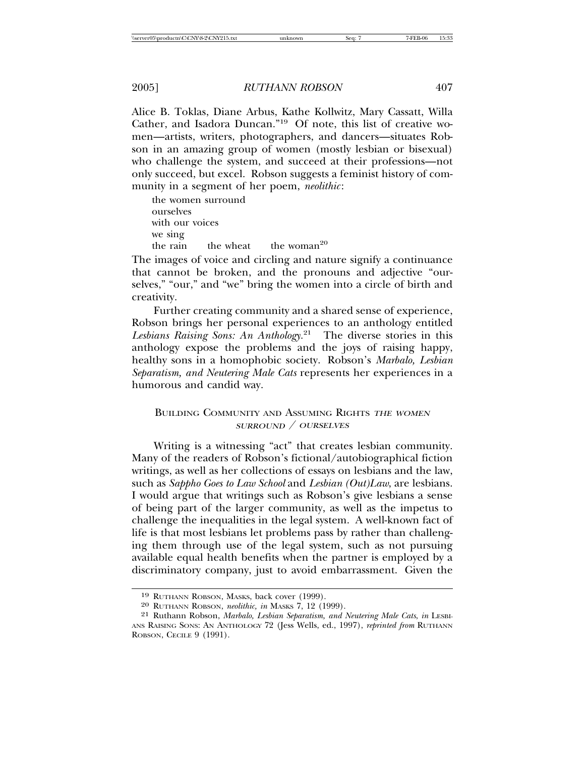#### 2005] *RUTHANN ROBSON* 407

Alice B. Toklas, Diane Arbus, Kathe Kollwitz, Mary Cassatt, Willa Cather, and Isadora Duncan."19 Of note, this list of creative women—artists, writers, photographers, and dancers—situates Robson in an amazing group of women (mostly lesbian or bisexual) who challenge the system, and succeed at their professions—not only succeed, but excel. Robson suggests a feminist history of community in a segment of her poem, *neolithic*:

the women surround ourselves with our voices we sing the rain the wheat the woman<sup>20</sup>

The images of voice and circling and nature signify a continuance that cannot be broken, and the pronouns and adjective "ourselves," "our," and "we" bring the women into a circle of birth and creativity.

Further creating community and a shared sense of experience, Robson brings her personal experiences to an anthology entitled *Lesbians Raising Sons: An Anthology.*21 The diverse stories in this anthology expose the problems and the joys of raising happy, healthy sons in a homophobic society. Robson's *Marbalo, Lesbian Separatism, and Neutering Male Cats* represents her experiences in a humorous and candid way.

#### BUILDING COMMUNITY AND ASSUMING RIGHTS THE WOMEN SURROUND / OURSELVES

Writing is a witnessing "act" that creates lesbian community. Many of the readers of Robson's fictional/autobiographical fiction writings, as well as her collections of essays on lesbians and the law, such as *Sappho Goes to Law School* and *Lesbian (Out)Law*, are lesbians. I would argue that writings such as Robson's give lesbians a sense of being part of the larger community, as well as the impetus to challenge the inequalities in the legal system. A well-known fact of life is that most lesbians let problems pass by rather than challenging them through use of the legal system, such as not pursuing available equal health benefits when the partner is employed by a discriminatory company, just to avoid embarrassment. Given the

<sup>19</sup> RUTHANN ROBSON, MASKS, back cover (1999).

<sup>20</sup> RUTHANN ROBSON, *neolithic, in* MASKS 7, 12 (1999).

<sup>21</sup> Ruthann Robson, *Marbalo, Lesbian Separatism, and Neutering Male Cats*, *in* LESBI-ANS RAISING SONS: AN ANTHOLOGY 72 (Jess Wells, ed., 1997), *reprinted from* RUTHANN ROBSON, CECILE 9 (1991).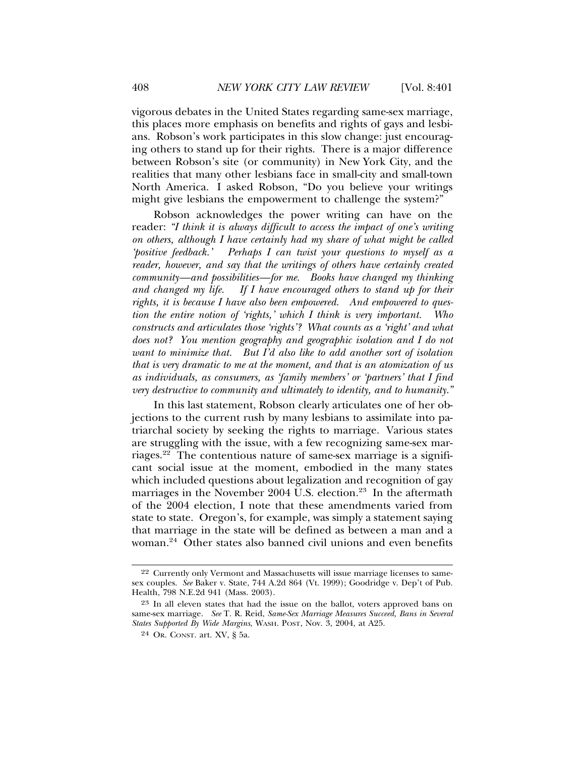vigorous debates in the United States regarding same-sex marriage, this places more emphasis on benefits and rights of gays and lesbians. Robson's work participates in this slow change: just encouraging others to stand up for their rights. There is a major difference between Robson's site (or community) in New York City, and the realities that many other lesbians face in small-city and small-town North America. I asked Robson, "Do you believe your writings might give lesbians the empowerment to challenge the system?"

Robson acknowledges the power writing can have on the reader: *"I think it is always difficult to access the impact of one's writing on others, although I have certainly had my share of what might be called 'positive feedback.' Perhaps I can twist your questions to myself as a reader, however, and say that the writings of others have certainly created community—and possibilities—for me. Books have changed my thinking and changed my life. If I have encouraged others to stand up for their rights, it is because I have also been empowered. And empowered to question the entire notion of 'rights,' which I think is very important. Who constructs and articulates those 'rights'? What counts as a 'right' and what does not? You mention geography and geographic isolation and I do not want to minimize that. But I'd also like to add another sort of isolation that is very dramatic to me at the moment, and that is an atomization of us as individuals, as consumers, as 'family members' or 'partners' that I find very destructive to community and ultimately to identity, and to humanity."*

In this last statement, Robson clearly articulates one of her objections to the current rush by many lesbians to assimilate into patriarchal society by seeking the rights to marriage. Various states are struggling with the issue, with a few recognizing same-sex marriages.22 The contentious nature of same-sex marriage is a significant social issue at the moment, embodied in the many states which included questions about legalization and recognition of gay marriages in the November 2004 U.S. election.<sup>23</sup> In the aftermath of the 2004 election, I note that these amendments varied from state to state. Oregon's, for example, was simply a statement saying that marriage in the state will be defined as between a man and a woman.24 Other states also banned civil unions and even benefits

<sup>22</sup> Currently only Vermont and Massachusetts will issue marriage licenses to samesex couples. *See* Baker v. State, 744 A.2d 864 (Vt. 1999); Goodridge v. Dep't of Pub. Health, 798 N.E.2d 941 (Mass. 2003).

<sup>23</sup> In all eleven states that had the issue on the ballot, voters approved bans on same-sex marriage. *See* T. R. Reid, *Same-Sex Marriage Measures Succeed, Bans in Several States Supported By Wide Margins*, WASH. POST, Nov. 3, 2004, at A25.

<sup>24</sup> OR. CONST. art. XV, § 5a.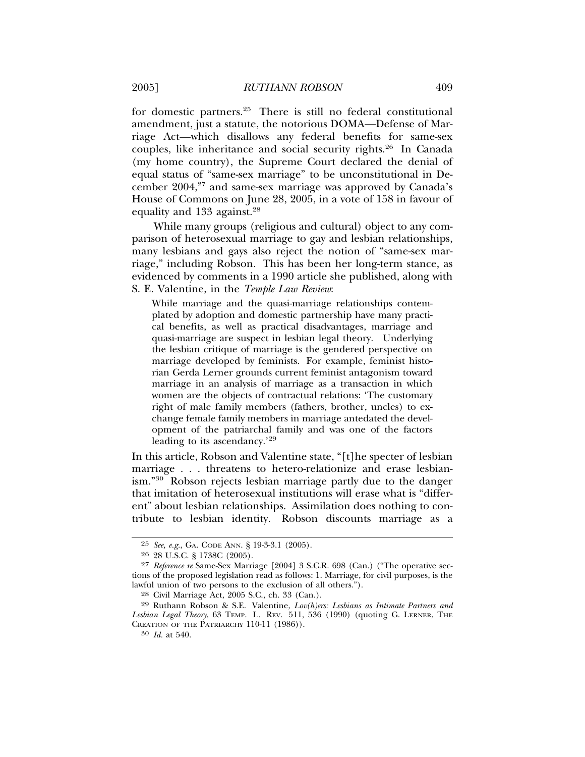for domestic partners.25 There is still no federal constitutional amendment, just a statute, the notorious DOMA—Defense of Marriage Act—which disallows any federal benefits for same-sex couples, like inheritance and social security rights.26 In Canada (my home country), the Supreme Court declared the denial of equal status of "same-sex marriage" to be unconstitutional in December  $2004$ ,<sup>27</sup> and same-sex marriage was approved by Canada's House of Commons on June 28, 2005, in a vote of 158 in favour of equality and 133 against.<sup>28</sup>

While many groups (religious and cultural) object to any comparison of heterosexual marriage to gay and lesbian relationships, many lesbians and gays also reject the notion of "same-sex marriage," including Robson. This has been her long-term stance, as evidenced by comments in a 1990 article she published, along with S. E. Valentine, in the *Temple Law Review*:

While marriage and the quasi-marriage relationships contemplated by adoption and domestic partnership have many practical benefits, as well as practical disadvantages, marriage and quasi-marriage are suspect in lesbian legal theory. Underlying the lesbian critique of marriage is the gendered perspective on marriage developed by feminists. For example, feminist historian Gerda Lerner grounds current feminist antagonism toward marriage in an analysis of marriage as a transaction in which women are the objects of contractual relations: 'The customary right of male family members (fathers, brother, uncles) to exchange female family members in marriage antedated the development of the patriarchal family and was one of the factors leading to its ascendancy.<sup>'29</sup>

In this article, Robson and Valentine state, "[t]he specter of lesbian marriage . . . threatens to hetero-relationize and erase lesbianism."30 Robson rejects lesbian marriage partly due to the danger that imitation of heterosexual institutions will erase what is "different" about lesbian relationships. Assimilation does nothing to contribute to lesbian identity. Robson discounts marriage as a

<sup>25</sup> *See, e.g.*, GA. CODE ANN. § 19-3-3.1 (2005).

<sup>26</sup> 28 U.S.C. § 1738C (2005).

<sup>27</sup> *Reference re* Same-Sex Marriage [2004] 3 S.C.R. 698 (Can.) ("The operative sections of the proposed legislation read as follows: 1. Marriage, for civil purposes, is the lawful union of two persons to the exclusion of all others.").

<sup>28</sup> Civil Marriage Act, 2005 S.C., ch. 33 (Can.).

<sup>29</sup> Ruthann Robson & S.E. Valentine, *Lov(h)ers: Lesbians as Intimate Partners and Lesbian Legal Theory*, 63 TEMP. L. REV. 511, 536 (1990) (quoting G. LERNER, THE CREATION OF THE PATRIARCHY 110-11 (1986)).

<sup>30</sup> *Id.* at 540.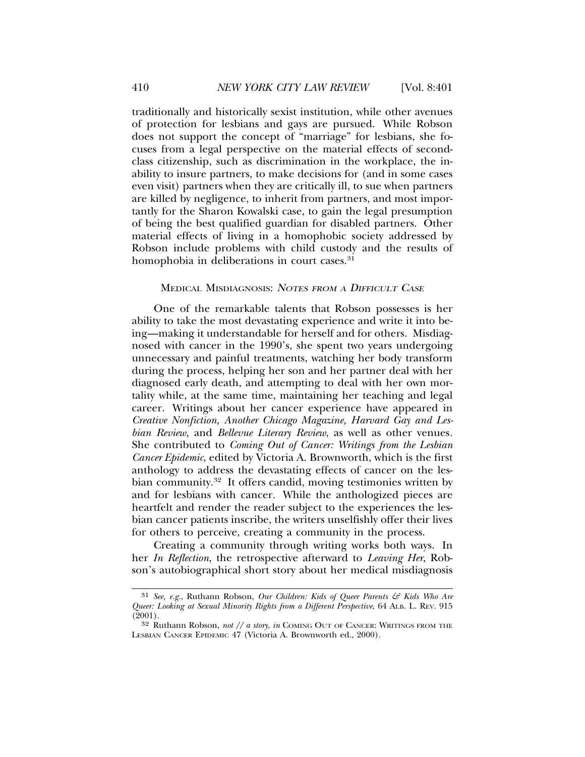traditionally and historically sexist institution, while other avenues of protection for lesbians and gays are pursued. While Robson does not support the concept of "marriage" for lesbians, she focuses from a legal perspective on the material effects of secondclass citizenship, such as discrimination in the workplace, the inability to insure partners, to make decisions for (and in some cases even visit) partners when they are critically ill, to sue when partners are killed by negligence, to inherit from partners, and most importantly for the Sharon Kowalski case, to gain the legal presumption of being the best qualified guardian for disabled partners. Other material effects of living in a homophobic society addressed by Robson include problems with child custody and the results of homophobia in deliberations in court cases.<sup>31</sup>

#### MEDICAL MISDIAGNOSIS: <sup>N</sup>OTES FROM <sup>A</sup> DIFFICULT CASE

One of the remarkable talents that Robson possesses is her ability to take the most devastating experience and write it into being—making it understandable for herself and for others. Misdiagnosed with cancer in the 1990's, she spent two years undergoing unnecessary and painful treatments, watching her body transform during the process, helping her son and her partner deal with her diagnosed early death, and attempting to deal with her own mortality while, at the same time, maintaining her teaching and legal career. Writings about her cancer experience have appeared in *Creative Nonfiction, Another Chicago Magazine, Harvard Gay and Lesbian Review,* and *Bellevue Literary Review*, as well as other venues*.* She contributed to *Coming Out of Cancer: Writings from the Lesbian Cancer Epidemic*, edited by Victoria A. Brownworth, which is the first anthology to address the devastating effects of cancer on the lesbian community.<sup>32</sup> It offers candid, moving testimonies written by and for lesbians with cancer. While the anthologized pieces are heartfelt and render the reader subject to the experiences the lesbian cancer patients inscribe, the writers unselfishly offer their lives for others to perceive, creating a community in the process.

Creating a community through writing works both ways. In her *In Reflection*, the retrospective afterward to *Leaving Her*, Robson's autobiographical short story about her medical misdiagnosis

<sup>31</sup> *See, e.g.*, Ruthann Robson, *Our Children: Kids of Queer Parents & Kids Who Are Queer: Looking at Sexual Minority Rights from a Different Perspective*, 64 ALB. L. REV. 915 (2001).

<sup>32</sup> Ruthann Robson, *not // a story*, *in* COMING OUT OF CANCER: WRITINGS FROM THE LESBIAN CANCER EPIDEMIC 47 (Victoria A. Brownworth ed., 2000).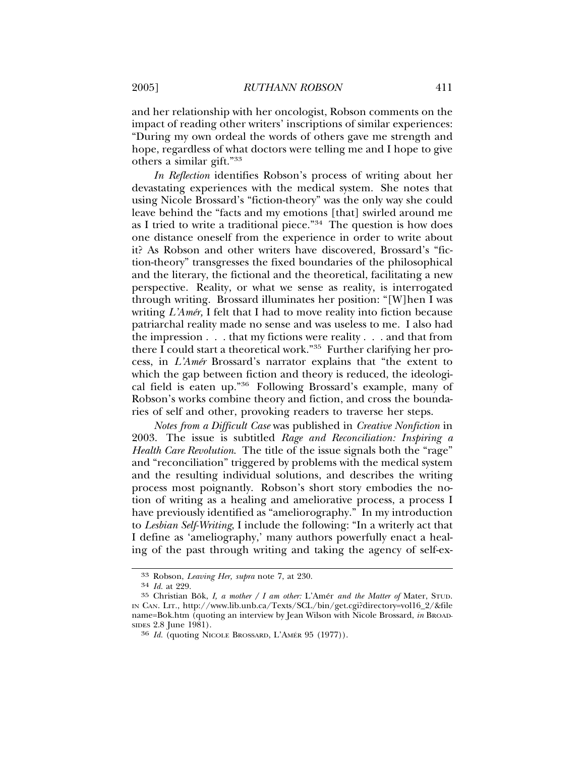and her relationship with her oncologist, Robson comments on the impact of reading other writers' inscriptions of similar experiences: "During my own ordeal the words of others gave me strength and hope, regardless of what doctors were telling me and I hope to give others a similar gift."33

*In Reflection* identifies Robson's process of writing about her devastating experiences with the medical system. She notes that using Nicole Brossard's "fiction-theory" was the only way she could leave behind the "facts and my emotions [that] swirled around me as I tried to write a traditional piece."34 The question is how does one distance oneself from the experience in order to write about it? As Robson and other writers have discovered, Brossard's "fiction-theory" transgresses the fixed boundaries of the philosophical and the literary, the fictional and the theoretical, facilitating a new perspective. Reality, or what we sense as reality, is interrogated through writing. Brossard illuminates her position: "[W]hen I was writing *L'Amér*, I felt that I had to move reality into fiction because patriarchal reality made no sense and was useless to me. I also had the impression . . . that my fictions were reality . . . and that from there I could start a theoretical work."35 Further clarifying her process, in *L'Amér* Brossard's narrator explains that "the extent to which the gap between fiction and theory is reduced, the ideological field is eaten up."36 Following Brossard's example, many of Robson's works combine theory and fiction, and cross the boundaries of self and other, provoking readers to traverse her steps.

*Notes from a Difficult Case* was published in *Creative Nonfiction* in 2003. The issue is subtitled *Rage and Reconciliation: Inspiring a Health Care Revolution*. The title of the issue signals both the "rage" and "reconciliation" triggered by problems with the medical system and the resulting individual solutions, and describes the writing process most poignantly. Robson's short story embodies the notion of writing as a healing and ameliorative process, a process I have previously identified as "ameliorography." In my introduction to *Lesbian Self-Writing*, I include the following: "In a writerly act that I define as 'ameliography,' many authors powerfully enact a healing of the past through writing and taking the agency of self-ex-

<sup>33</sup> Robson, *Leaving Her, supra* note 7, at 230.

<sup>34</sup> *Id.* at 229.

<sup>35</sup> Christian Bök, I, a mother / I am other: L'Amér and the Matter of Mater, STUD. IN CAN. LIT., http://www.lib.unb.ca/Texts/SCL/bin/get.cgi?directory=vol16\_2/&file name=Bok.htm (quoting an interview by Jean Wilson with Nicole Brossard, *in* BROAD-SIDES 2.8 June 1981).

<sup>&</sup>lt;sup>36</sup> *Id.* (quoting NICOLE BROSSARD, L'AMÉR 95 (1977)).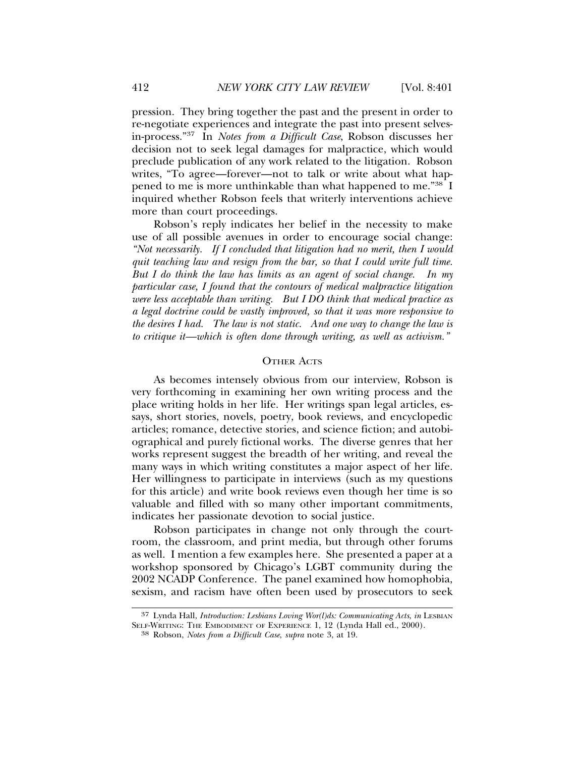pression. They bring together the past and the present in order to re-negotiate experiences and integrate the past into present selvesin-process."37 In *Notes from a Difficult Case*, Robson discusses her decision not to seek legal damages for malpractice, which would preclude publication of any work related to the litigation. Robson writes, "To agree—forever—not to talk or write about what happened to me is more unthinkable than what happened to me."38 I inquired whether Robson feels that writerly interventions achieve more than court proceedings.

Robson's reply indicates her belief in the necessity to make use of all possible avenues in order to encourage social change: *"Not necessarily. If I concluded that litigation had no merit, then I would quit teaching law and resign from the bar, so that I could write full time. But I do think the law has limits as an agent of social change. In my particular case, I found that the contours of medical malpractice litigation were less acceptable than writing. But I DO think that medical practice as a legal doctrine could be vastly improved, so that it was more responsive to the desires I had. The law is not static. And one way to change the law is to critique it—which is often done through writing, as well as activism."*

#### OTHER ACTS

As becomes intensely obvious from our interview, Robson is very forthcoming in examining her own writing process and the place writing holds in her life. Her writings span legal articles, essays, short stories, novels, poetry, book reviews, and encyclopedic articles; romance, detective stories, and science fiction; and autobiographical and purely fictional works. The diverse genres that her works represent suggest the breadth of her writing, and reveal the many ways in which writing constitutes a major aspect of her life. Her willingness to participate in interviews (such as my questions for this article) and write book reviews even though her time is so valuable and filled with so many other important commitments, indicates her passionate devotion to social justice.

Robson participates in change not only through the courtroom, the classroom, and print media, but through other forums as well. I mention a few examples here. She presented a paper at a workshop sponsored by Chicago's LGBT community during the 2002 NCADP Conference. The panel examined how homophobia, sexism, and racism have often been used by prosecutors to seek

<sup>37</sup> Lynda Hall, *Introduction: Lesbians Loving Wor(l)ds: Communicating Acts*, *in* LESBIAN SELF-WRITING: THE EMBODIMENT OF EXPERIENCE 1, 12 (Lynda Hall ed., 2000). <sup>38</sup> Robson, *Notes from a Difficult Case*, *supra* note 3, at 19.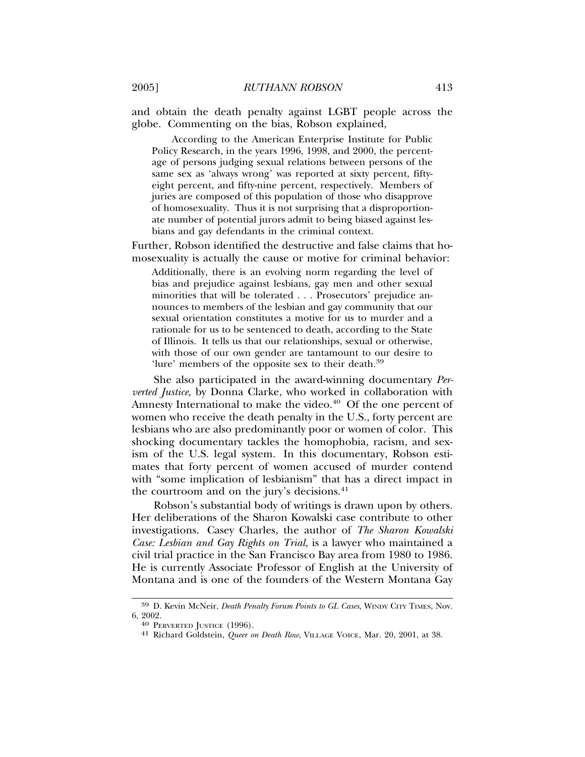and obtain the death penalty against LGBT people across the globe. Commenting on the bias, Robson explained,

According to the American Enterprise Institute for Public Policy Research, in the years 1996, 1998, and 2000, the percentage of persons judging sexual relations between persons of the same sex as 'always wrong' was reported at sixty percent, fiftyeight percent, and fifty-nine percent, respectively. Members of juries are composed of this population of those who disapprove of homosexuality. Thus it is not surprising that a disproportionate number of potential jurors admit to being biased against lesbians and gay defendants in the criminal context.

Further, Robson identified the destructive and false claims that homosexuality is actually the cause or motive for criminal behavior:

Additionally, there is an evolving norm regarding the level of bias and prejudice against lesbians, gay men and other sexual minorities that will be tolerated . . . Prosecutors' prejudice announces to members of the lesbian and gay community that our sexual orientation constitutes a motive for us to murder and a rationale for us to be sentenced to death, according to the State of Illinois. It tells us that our relationships, sexual or otherwise, with those of our own gender are tantamount to our desire to 'lure' members of the opposite sex to their death.<sup>39</sup>

She also participated in the award-winning documentary *Perverted Justice*, by Donna Clarke, who worked in collaboration with Amnesty International to make the video.<sup>40</sup> Of the one percent of women who receive the death penalty in the U.S., forty percent are lesbians who are also predominantly poor or women of color. This shocking documentary tackles the homophobia, racism, and sexism of the U.S. legal system. In this documentary, Robson estimates that forty percent of women accused of murder contend with "some implication of lesbianism" that has a direct impact in the courtroom and on the jury's decisions. $41$ 

Robson's substantial body of writings is drawn upon by others. Her deliberations of the Sharon Kowalski case contribute to other investigations. Casey Charles, the author of *The Sharon Kowalski Case: Lesbian and Gay Rights on Trial,* is a lawyer who maintained a civil trial practice in the San Francisco Bay area from 1980 to 1986. He is currently Associate Professor of English at the University of Montana and is one of the founders of the Western Montana Gay

<sup>39</sup> D. Kevin McNeir, *Death Penalty Forum Points to GL Cases*, WINDY CITY TIMES, Nov. 6, 2002. <sup>40</sup> PERVERTED JUSTICE (1996). <sup>41</sup> Richard Goldstein, *Queer on Death Row*, VILLAGE VOICE, Mar. 20, 2001, at 38.